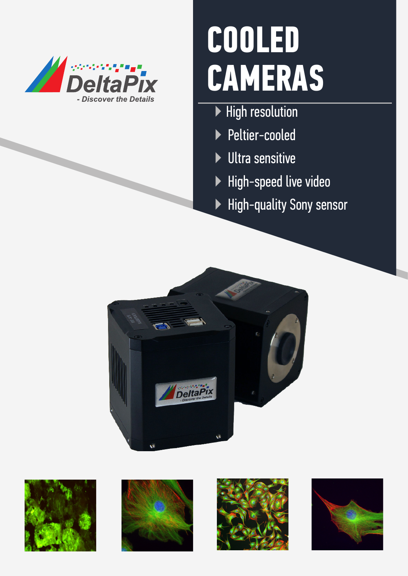

# **COOLED CAMERAS**

- ▶ High resolution
- ▶ Peltier-cooled
- ▶ Ultra sensitive
- ▶ High-speed live video
- ▶ High-quality Sony sensor